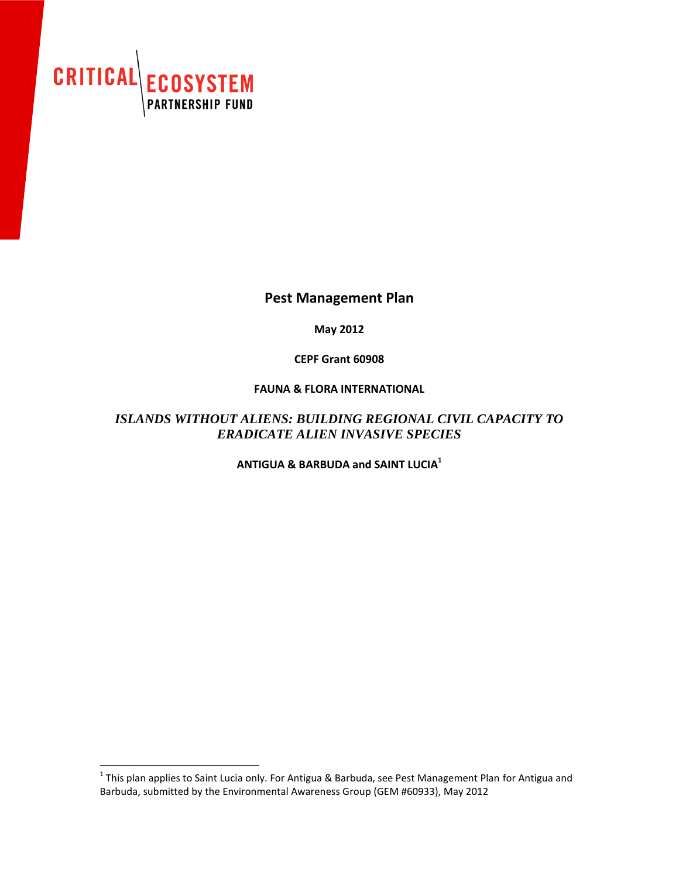

## **Pest Management Plan**

**May 2012**

**CEPF Grant 60908**

### **FAUNA & FLORA INTERNATIONAL**

## *ISLANDS WITHOUT ALIENS: BUILDING REGIONAL CIVIL CAPACITY TO ERADICATE ALIEN INVASIVE SPECIES*

**ANTIGUA & BARBUDA and SAINT LUCIA<sup>1</sup>**

**This plan applies to Saint Lucia only. For Antigua & Barbuda, see Pest Management Plan for Antigua and 1.**<br>This plan applies to Saint Lucia only. For Antigua & Barbuda, see Pest Management Plan for Antigua and Barbuda, submitted by the Environmental Awareness Group (GEM #60933), May 2012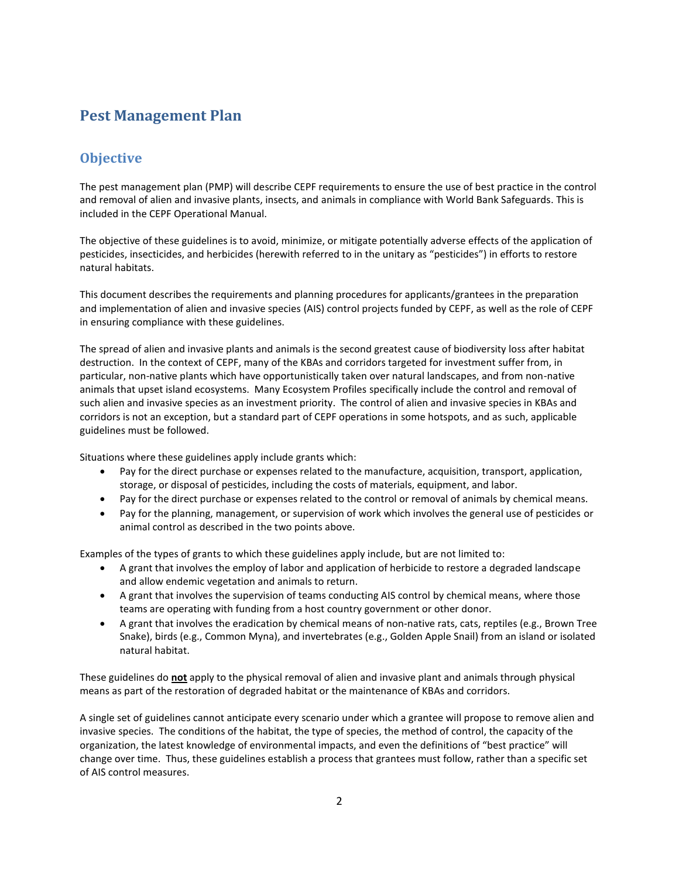# **Pest Management Plan**

## **Objective**

The pest management plan (PMP) will describe CEPF requirements to ensure the use of best practice in the control and removal of alien and invasive plants, insects, and animals in compliance with World Bank Safeguards. This is included in the CEPF Operational Manual.

The objective of these guidelines is to avoid, minimize, or mitigate potentially adverse effects of the application of pesticides, insecticides, and herbicides (herewith referred to in the unitary as "pesticides") in efforts to restore natural habitats.

This document describes the requirements and planning procedures for applicants/grantees in the preparation and implementation of alien and invasive species (AIS) control projects funded by CEPF, as well as the role of CEPF in ensuring compliance with these guidelines.

The spread of alien and invasive plants and animals is the second greatest cause of biodiversity loss after habitat destruction. In the context of CEPF, many of the KBAs and corridors targeted for investment suffer from, in particular, non-native plants which have opportunistically taken over natural landscapes, and from non-native animals that upset island ecosystems. Many Ecosystem Profiles specifically include the control and removal of such alien and invasive species as an investment priority. The control of alien and invasive species in KBAs and corridors is not an exception, but a standard part of CEPF operations in some hotspots, and as such, applicable guidelines must be followed.

Situations where these guidelines apply include grants which:

- Pay for the direct purchase or expenses related to the manufacture, acquisition, transport, application, storage, or disposal of pesticides, including the costs of materials, equipment, and labor.
- Pay for the direct purchase or expenses related to the control or removal of animals by chemical means.
- Pay for the planning, management, or supervision of work which involves the general use of pesticides or animal control as described in the two points above.

Examples of the types of grants to which these guidelines apply include, but are not limited to:

- A grant that involves the employ of labor and application of herbicide to restore a degraded landscape and allow endemic vegetation and animals to return.
- A grant that involves the supervision of teams conducting AIS control by chemical means, where those teams are operating with funding from a host country government or other donor.
- A grant that involves the eradication by chemical means of non-native rats, cats, reptiles (e.g., Brown Tree Snake), birds (e.g., Common Myna), and invertebrates (e.g., Golden Apple Snail) from an island or isolated natural habitat.

These guidelines do **not** apply to the physical removal of alien and invasive plant and animals through physical means as part of the restoration of degraded habitat or the maintenance of KBAs and corridors.

A single set of guidelines cannot anticipate every scenario under which a grantee will propose to remove alien and invasive species. The conditions of the habitat, the type of species, the method of control, the capacity of the organization, the latest knowledge of environmental impacts, and even the definitions of "best practice" will change over time. Thus, these guidelines establish a process that grantees must follow, rather than a specific set of AIS control measures.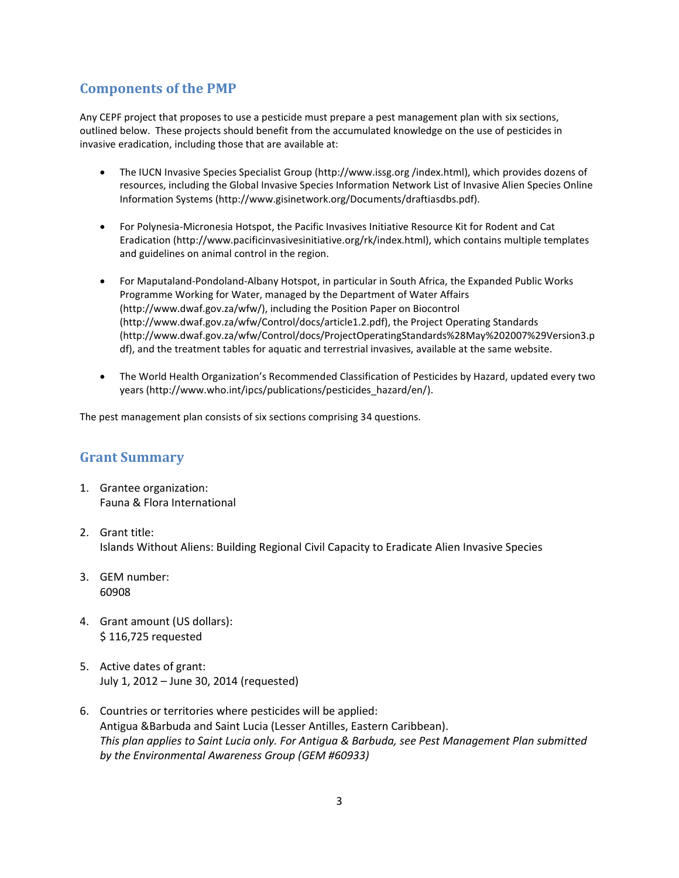## **Components of the PMP**

Any CEPF project that proposes to use a pesticide must prepare a pest management plan with six sections, outlined below. These projects should benefit from the accumulated knowledge on the use of pesticides in invasive eradication, including those that are available at:

- The IUCN Invasive Species Specialist Group (http://www.issg.org /index.html), which provides dozens of resources, including the Global Invasive Species Information Network List of Invasive Alien Species Online Information Systems (http://www.gisinetwork.org/Documents/draftiasdbs.pdf).
- For Polynesia-Micronesia Hotspot, the Pacific Invasives Initiative Resource Kit for Rodent and Cat Eradication (http://www.pacificinvasivesinitiative.org/rk/index.html), which contains multiple templates and guidelines on animal control in the region.
- For Maputaland-Pondoland-Albany Hotspot, in particular in South Africa, the Expanded Public Works Programme Working for Water, managed by the Department of Water Affairs (http://www.dwaf.gov.za/wfw/), including the Position Paper on Biocontrol (http://www.dwaf.gov.za/wfw/Control/docs/article1.2.pdf), the Project Operating Standards (http://www.dwaf.gov.za/wfw/Control/docs/ProjectOperatingStandards%28May%202007%29Version3.p df), and the treatment tables for aquatic and terrestrial invasives, available at the same website.
- The World Health Organization's Recommended Classification of Pesticides by Hazard, updated every two years (http://www.who.int/ipcs/publications/pesticides\_hazard/en/).

The pest management plan consists of six sections comprising 34 questions.

### **Grant Summary**

- 1. Grantee organization: Fauna & Flora International
- 2. Grant title: Islands Without Aliens: Building Regional Civil Capacity to Eradicate Alien Invasive Species
- 3. GEM number: 60908
- 4. Grant amount (US dollars): \$ 116,725 requested
- 5. Active dates of grant: July 1, 2012 – June 30, 2014 (requested)
- 6. Countries or territories where pesticides will be applied: Antigua &Barbuda and Saint Lucia (Lesser Antilles, Eastern Caribbean). *This plan applies to Saint Lucia only. For Antigua & Barbuda, see Pest Management Plan submitted by the Environmental Awareness Group (GEM #60933)*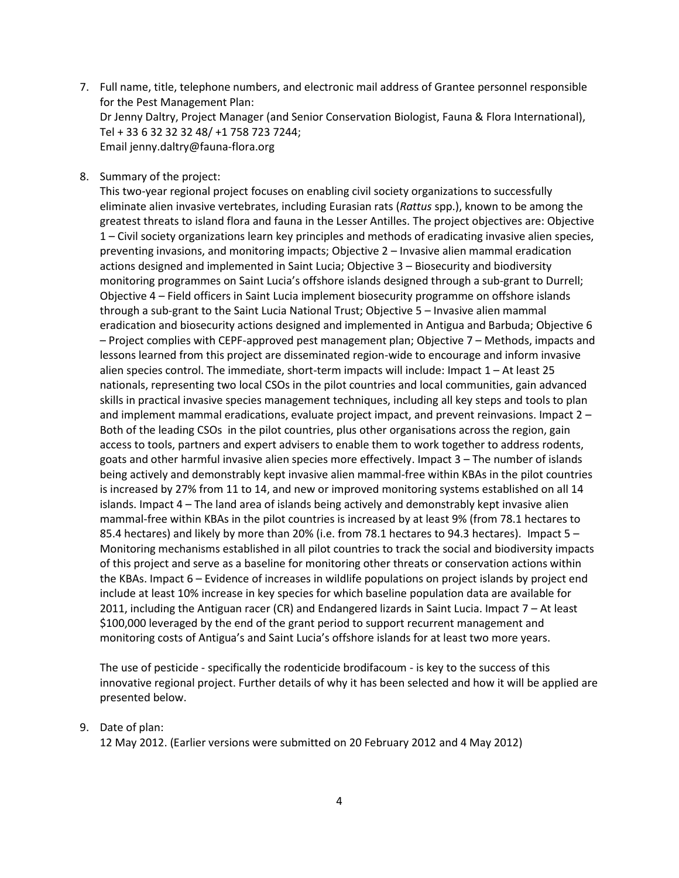- 7. Full name, title, telephone numbers, and electronic mail address of Grantee personnel responsible for the Pest Management Plan: Dr Jenny Daltry, Project Manager (and Senior Conservation Biologist, Fauna & Flora International), Tel + 33 6 32 32 32 48/ +1 758 723 7244; Email jenny.daltry@fauna-flora.org
- 8. Summary of the project:

This two-year regional project focuses on enabling civil society organizations to successfully eliminate alien invasive vertebrates, including Eurasian rats (*Rattus* spp.), known to be among the greatest threats to island flora and fauna in the Lesser Antilles. The project objectives are: Objective 1 – Civil society organizations learn key principles and methods of eradicating invasive alien species, preventing invasions, and monitoring impacts; Objective 2 – Invasive alien mammal eradication actions designed and implemented in Saint Lucia; Objective 3 – Biosecurity and biodiversity monitoring programmes on Saint Lucia's offshore islands designed through a sub-grant to Durrell; Objective 4 – Field officers in Saint Lucia implement biosecurity programme on offshore islands through a sub-grant to the Saint Lucia National Trust; Objective 5 – Invasive alien mammal eradication and biosecurity actions designed and implemented in Antigua and Barbuda; Objective 6 – Project complies with CEPF-approved pest management plan; Objective 7 – Methods, impacts and lessons learned from this project are disseminated region-wide to encourage and inform invasive alien species control. The immediate, short-term impacts will include: Impact 1 – At least 25 nationals, representing two local CSOs in the pilot countries and local communities, gain advanced skills in practical invasive species management techniques, including all key steps and tools to plan and implement mammal eradications, evaluate project impact, and prevent reinvasions. Impact 2 – Both of the leading CSOs in the pilot countries, plus other organisations across the region, gain access to tools, partners and expert advisers to enable them to work together to address rodents, goats and other harmful invasive alien species more effectively. Impact 3 – The number of islands being actively and demonstrably kept invasive alien mammal-free within KBAs in the pilot countries is increased by 27% from 11 to 14, and new or improved monitoring systems established on all 14 islands. Impact 4 – The land area of islands being actively and demonstrably kept invasive alien mammal-free within KBAs in the pilot countries is increased by at least 9% (from 78.1 hectares to 85.4 hectares) and likely by more than 20% (i.e. from 78.1 hectares to 94.3 hectares). Impact 5 – Monitoring mechanisms established in all pilot countries to track the social and biodiversity impacts of this project and serve as a baseline for monitoring other threats or conservation actions within the KBAs. Impact 6 – Evidence of increases in wildlife populations on project islands by project end include at least 10% increase in key species for which baseline population data are available for 2011, including the Antiguan racer (CR) and Endangered lizards in Saint Lucia. Impact 7 – At least \$100,000 leveraged by the end of the grant period to support recurrent management and monitoring costs of Antigua's and Saint Lucia's offshore islands for at least two more years.

The use of pesticide - specifically the rodenticide brodifacoum - is key to the success of this innovative regional project. Further details of why it has been selected and how it will be applied are presented below.

9. Date of plan:

12 May 2012. (Earlier versions were submitted on 20 February 2012 and 4 May 2012)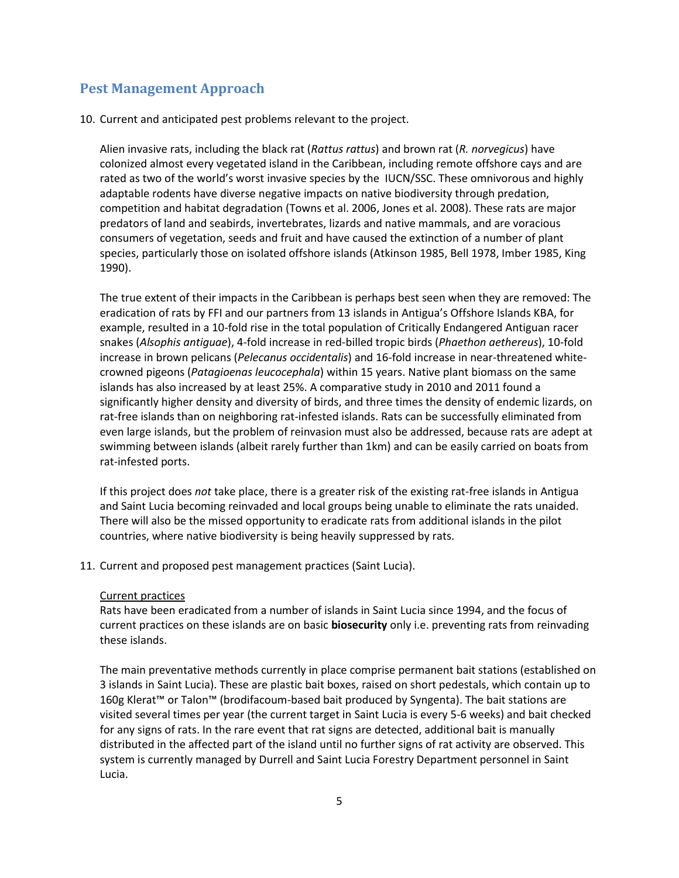## **Pest Management Approach**

10. Current and anticipated pest problems relevant to the project.

Alien invasive rats, including the black rat (*Rattus rattus*) and brown rat (*R. norvegicus*) have colonized almost every vegetated island in the Caribbean, including remote offshore cays and are rated as two of the world's worst invasive species by the IUCN/SSC. These omnivorous and highly adaptable rodents have diverse negative impacts on native biodiversity through predation, competition and habitat degradation (Towns et al. 2006, Jones et al. 2008). These rats are major predators of land and seabirds, invertebrates, lizards and native mammals, and are voracious consumers of vegetation, seeds and fruit and have caused the extinction of a number of plant species, particularly those on isolated offshore islands (Atkinson 1985, Bell 1978, Imber 1985, King 1990).

The true extent of their impacts in the Caribbean is perhaps best seen when they are removed: The eradication of rats by FFI and our partners from 13 islands in Antigua's Offshore Islands KBA, for example, resulted in a 10-fold rise in the total population of Critically Endangered Antiguan racer snakes (*Alsophis antiguae*), 4-fold increase in red-billed tropic birds (*Phaethon aethereus*), 10-fold increase in brown pelicans (*Pelecanus occidentalis*) and 16-fold increase in near-threatened whitecrowned pigeons (*Patagioenas leucocephala*) within 15 years. Native plant biomass on the same islands has also increased by at least 25%. A comparative study in 2010 and 2011 found a significantly higher density and diversity of birds, and three times the density of endemic lizards, on rat-free islands than on neighboring rat-infested islands. Rats can be successfully eliminated from even large islands, but the problem of reinvasion must also be addressed, because rats are adept at swimming between islands (albeit rarely further than 1km) and can be easily carried on boats from rat-infested ports.

If this project does *not* take place, there is a greater risk of the existing rat-free islands in Antigua and Saint Lucia becoming reinvaded and local groups being unable to eliminate the rats unaided. There will also be the missed opportunity to eradicate rats from additional islands in the pilot countries, where native biodiversity is being heavily suppressed by rats.

11. Current and proposed pest management practices (Saint Lucia).

### Current practices

Rats have been eradicated from a number of islands in Saint Lucia since 1994, and the focus of current practices on these islands are on basic **biosecurity** only i.e. preventing rats from reinvading these islands.

The main preventative methods currently in place comprise permanent bait stations (established on 3 islands in Saint Lucia). These are plastic bait boxes, raised on short pedestals, which contain up to 160g Klerat™ or Talon™ (brodifacoum-based bait produced by Syngenta). The bait stations are visited several times per year (the current target in Saint Lucia is every 5-6 weeks) and bait checked for any signs of rats. In the rare event that rat signs are detected, additional bait is manually distributed in the affected part of the island until no further signs of rat activity are observed. This system is currently managed by Durrell and Saint Lucia Forestry Department personnel in Saint Lucia.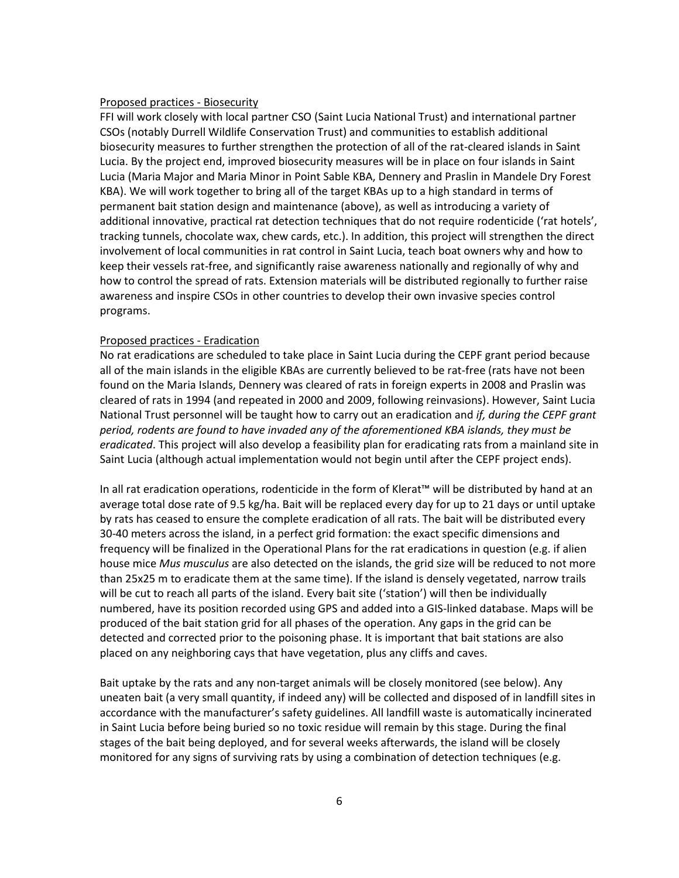#### Proposed practices - Biosecurity

FFI will work closely with local partner CSO (Saint Lucia National Trust) and international partner CSOs (notably Durrell Wildlife Conservation Trust) and communities to establish additional biosecurity measures to further strengthen the protection of all of the rat-cleared islands in Saint Lucia. By the project end, improved biosecurity measures will be in place on four islands in Saint Lucia (Maria Major and Maria Minor in Point Sable KBA, Dennery and Praslin in Mandele Dry Forest KBA). We will work together to bring all of the target KBAs up to a high standard in terms of permanent bait station design and maintenance (above), as well as introducing a variety of additional innovative, practical rat detection techniques that do not require rodenticide ('rat hotels', tracking tunnels, chocolate wax, chew cards, etc.). In addition, this project will strengthen the direct involvement of local communities in rat control in Saint Lucia, teach boat owners why and how to keep their vessels rat-free, and significantly raise awareness nationally and regionally of why and how to control the spread of rats. Extension materials will be distributed regionally to further raise awareness and inspire CSOs in other countries to develop their own invasive species control programs.

#### Proposed practices - Eradication

No rat eradications are scheduled to take place in Saint Lucia during the CEPF grant period because all of the main islands in the eligible KBAs are currently believed to be rat-free (rats have not been found on the Maria Islands, Dennery was cleared of rats in foreign experts in 2008 and Praslin was cleared of rats in 1994 (and repeated in 2000 and 2009, following reinvasions). However, Saint Lucia National Trust personnel will be taught how to carry out an eradication and *if, during the CEPF grant period, rodents are found to have invaded any of the aforementioned KBA islands, they must be eradicated*. This project will also develop a feasibility plan for eradicating rats from a mainland site in Saint Lucia (although actual implementation would not begin until after the CEPF project ends).

In all rat eradication operations, rodenticide in the form of Klerat™ will be distributed by hand at an average total dose rate of 9.5 kg/ha. Bait will be replaced every day for up to 21 days or until uptake by rats has ceased to ensure the complete eradication of all rats. The bait will be distributed every 30-40 meters across the island, in a perfect grid formation: the exact specific dimensions and frequency will be finalized in the Operational Plans for the rat eradications in question (e.g. if alien house mice *Mus musculus* are also detected on the islands, the grid size will be reduced to not more than 25x25 m to eradicate them at the same time). If the island is densely vegetated, narrow trails will be cut to reach all parts of the island. Every bait site ('station') will then be individually numbered, have its position recorded using GPS and added into a GIS-linked database. Maps will be produced of the bait station grid for all phases of the operation. Any gaps in the grid can be detected and corrected prior to the poisoning phase. It is important that bait stations are also placed on any neighboring cays that have vegetation, plus any cliffs and caves.

Bait uptake by the rats and any non-target animals will be closely monitored (see below). Any uneaten bait (a very small quantity, if indeed any) will be collected and disposed of in landfill sites in accordance with the manufacturer's safety guidelines. All landfill waste is automatically incinerated in Saint Lucia before being buried so no toxic residue will remain by this stage. During the final stages of the bait being deployed, and for several weeks afterwards, the island will be closely monitored for any signs of surviving rats by using a combination of detection techniques (e.g.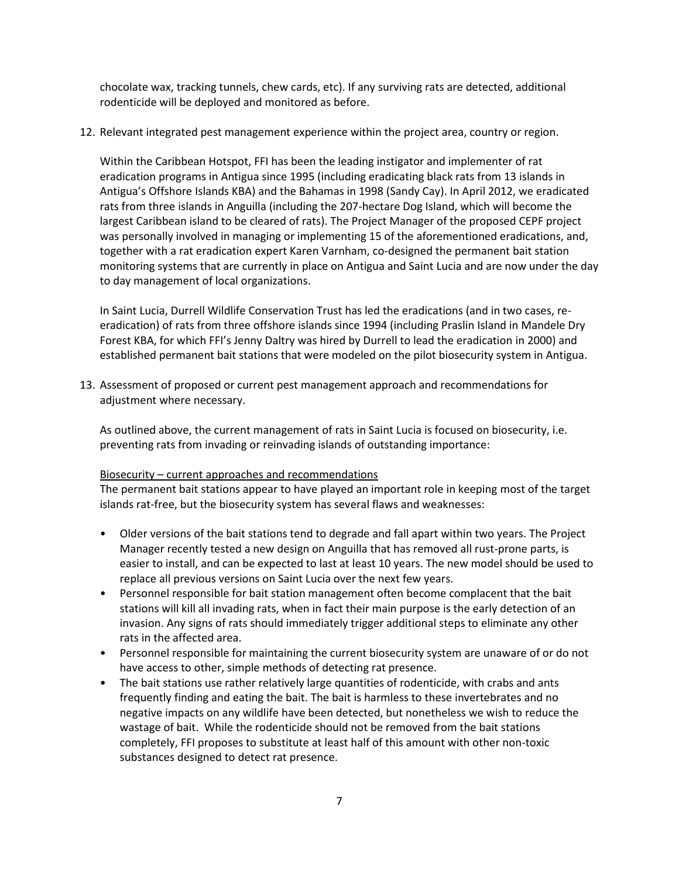chocolate wax, tracking tunnels, chew cards, etc). If any surviving rats are detected, additional rodenticide will be deployed and monitored as before.

12. Relevant integrated pest management experience within the project area, country or region.

Within the Caribbean Hotspot, FFI has been the leading instigator and implementer of rat eradication programs in Antigua since 1995 (including eradicating black rats from 13 islands in Antigua's Offshore Islands KBA) and the Bahamas in 1998 (Sandy Cay). In April 2012, we eradicated rats from three islands in Anguilla (including the 207-hectare Dog Island, which will become the largest Caribbean island to be cleared of rats). The Project Manager of the proposed CEPF project was personally involved in managing or implementing 15 of the aforementioned eradications, and, together with a rat eradication expert Karen Varnham, co-designed the permanent bait station monitoring systems that are currently in place on Antigua and Saint Lucia and are now under the day to day management of local organizations.

In Saint Lucia, Durrell Wildlife Conservation Trust has led the eradications (and in two cases, reeradication) of rats from three offshore islands since 1994 (including Praslin Island in Mandele Dry Forest KBA, for which FFI's Jenny Daltry was hired by Durrell to lead the eradication in 2000) and established permanent bait stations that were modeled on the pilot biosecurity system in Antigua.

13. Assessment of proposed or current pest management approach and recommendations for adjustment where necessary.

As outlined above, the current management of rats in Saint Lucia is focused on biosecurity, i.e. preventing rats from invading or reinvading islands of outstanding importance:

### Biosecurity – current approaches and recommendations

The permanent bait stations appear to have played an important role in keeping most of the target islands rat-free, but the biosecurity system has several flaws and weaknesses:

- Older versions of the bait stations tend to degrade and fall apart within two years. The Project Manager recently tested a new design on Anguilla that has removed all rust-prone parts, is easier to install, and can be expected to last at least 10 years. The new model should be used to replace all previous versions on Saint Lucia over the next few years.
- Personnel responsible for bait station management often become complacent that the bait stations will kill all invading rats, when in fact their main purpose is the early detection of an invasion. Any signs of rats should immediately trigger additional steps to eliminate any other rats in the affected area.
- Personnel responsible for maintaining the current biosecurity system are unaware of or do not have access to other, simple methods of detecting rat presence.
- The bait stations use rather relatively large quantities of rodenticide, with crabs and ants frequently finding and eating the bait. The bait is harmless to these invertebrates and no negative impacts on any wildlife have been detected, but nonetheless we wish to reduce the wastage of bait. While the rodenticide should not be removed from the bait stations completely, FFI proposes to substitute at least half of this amount with other non-toxic substances designed to detect rat presence.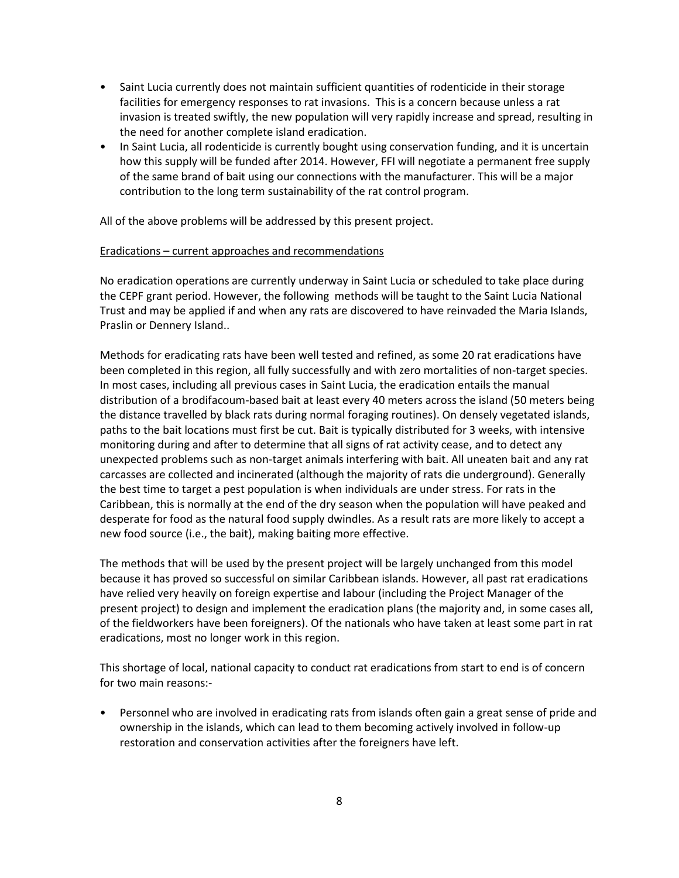- Saint Lucia currently does not maintain sufficient quantities of rodenticide in their storage facilities for emergency responses to rat invasions. This is a concern because unless a rat invasion is treated swiftly, the new population will very rapidly increase and spread, resulting in the need for another complete island eradication.
- In Saint Lucia, all rodenticide is currently bought using conservation funding, and it is uncertain how this supply will be funded after 2014. However, FFI will negotiate a permanent free supply of the same brand of bait using our connections with the manufacturer. This will be a major contribution to the long term sustainability of the rat control program.

All of the above problems will be addressed by this present project.

#### Eradications – current approaches and recommendations

No eradication operations are currently underway in Saint Lucia or scheduled to take place during the CEPF grant period. However, the following methods will be taught to the Saint Lucia National Trust and may be applied if and when any rats are discovered to have reinvaded the Maria Islands, Praslin or Dennery Island..

Methods for eradicating rats have been well tested and refined, as some 20 rat eradications have been completed in this region, all fully successfully and with zero mortalities of non-target species. In most cases, including all previous cases in Saint Lucia, the eradication entails the manual distribution of a brodifacoum-based bait at least every 40 meters across the island (50 meters being the distance travelled by black rats during normal foraging routines). On densely vegetated islands, paths to the bait locations must first be cut. Bait is typically distributed for 3 weeks, with intensive monitoring during and after to determine that all signs of rat activity cease, and to detect any unexpected problems such as non-target animals interfering with bait. All uneaten bait and any rat carcasses are collected and incinerated (although the majority of rats die underground). Generally the best time to target a pest population is when individuals are under stress. For rats in the Caribbean, this is normally at the end of the dry season when the population will have peaked and desperate for food as the natural food supply dwindles. As a result rats are more likely to accept a new food source (i.e., the bait), making baiting more effective.

The methods that will be used by the present project will be largely unchanged from this model because it has proved so successful on similar Caribbean islands. However, all past rat eradications have relied very heavily on foreign expertise and labour (including the Project Manager of the present project) to design and implement the eradication plans (the majority and, in some cases all, of the fieldworkers have been foreigners). Of the nationals who have taken at least some part in rat eradications, most no longer work in this region.

This shortage of local, national capacity to conduct rat eradications from start to end is of concern for two main reasons:-

• Personnel who are involved in eradicating rats from islands often gain a great sense of pride and ownership in the islands, which can lead to them becoming actively involved in follow-up restoration and conservation activities after the foreigners have left.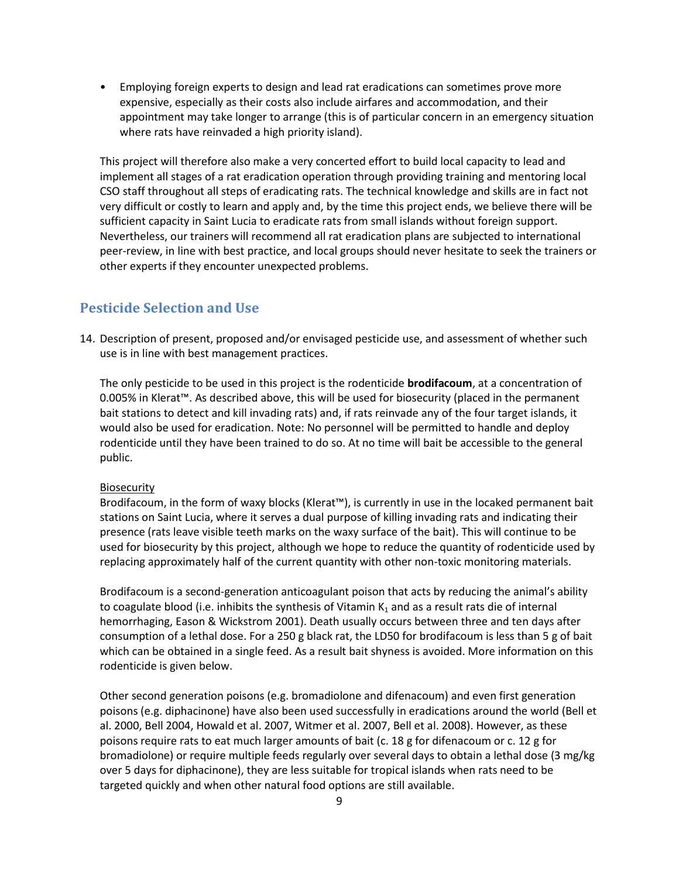• Employing foreign experts to design and lead rat eradications can sometimes prove more expensive, especially as their costs also include airfares and accommodation, and their appointment may take longer to arrange (this is of particular concern in an emergency situation where rats have reinvaded a high priority island).

This project will therefore also make a very concerted effort to build local capacity to lead and implement all stages of a rat eradication operation through providing training and mentoring local CSO staff throughout all steps of eradicating rats. The technical knowledge and skills are in fact not very difficult or costly to learn and apply and, by the time this project ends, we believe there will be sufficient capacity in Saint Lucia to eradicate rats from small islands without foreign support. Nevertheless, our trainers will recommend all rat eradication plans are subjected to international peer-review, in line with best practice, and local groups should never hesitate to seek the trainers or other experts if they encounter unexpected problems.

## **Pesticide Selection and Use**

14. Description of present, proposed and/or envisaged pesticide use, and assessment of whether such use is in line with best management practices.

The only pesticide to be used in this project is the rodenticide **brodifacoum**, at a concentration of 0.005% in Klerat™. As described above, this will be used for biosecurity (placed in the permanent bait stations to detect and kill invading rats) and, if rats reinvade any of the four target islands, it would also be used for eradication. Note: No personnel will be permitted to handle and deploy rodenticide until they have been trained to do so. At no time will bait be accessible to the general public.

### Biosecurity

Brodifacoum, in the form of waxy blocks (Klerat™), is currently in use in the locaked permanent bait stations on Saint Lucia, where it serves a dual purpose of killing invading rats and indicating their presence (rats leave visible teeth marks on the waxy surface of the bait). This will continue to be used for biosecurity by this project, although we hope to reduce the quantity of rodenticide used by replacing approximately half of the current quantity with other non-toxic monitoring materials.

Brodifacoum is a second-generation anticoagulant poison that acts by reducing the animal's ability to coagulate blood (i.e. inhibits the synthesis of Vitamin  $K_1$  and as a result rats die of internal hemorrhaging, Eason & Wickstrom 2001). Death usually occurs between three and ten days after consumption of a lethal dose. For a 250 g black rat, the LD50 for brodifacoum is less than 5 g of bait which can be obtained in a single feed. As a result bait shyness is avoided. More information on this rodenticide is given below.

Other second generation poisons (e.g. bromadiolone and difenacoum) and even first generation poisons (e.g. diphacinone) have also been used successfully in eradications around the world (Bell et al. 2000, Bell 2004, Howald et al. 2007, Witmer et al. 2007, Bell et al. 2008). However, as these poisons require rats to eat much larger amounts of bait (c. 18 g for difenacoum or c. 12 g for bromadiolone) or require multiple feeds regularly over several days to obtain a lethal dose (3 mg/kg over 5 days for diphacinone), they are less suitable for tropical islands when rats need to be targeted quickly and when other natural food options are still available.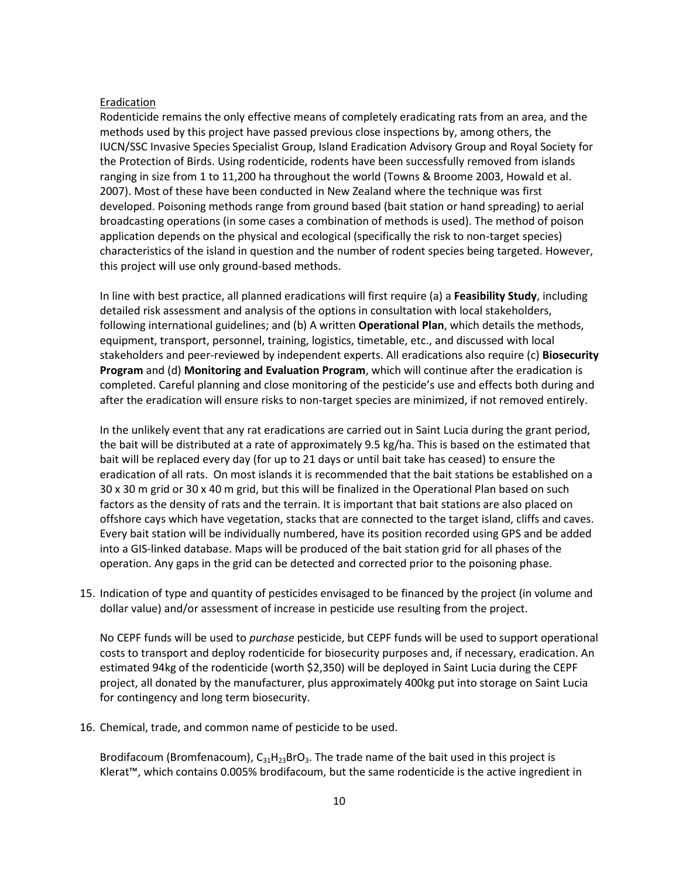#### Eradication

Rodenticide remains the only effective means of completely eradicating rats from an area, and the methods used by this project have passed previous close inspections by, among others, the IUCN/SSC Invasive Species Specialist Group, Island Eradication Advisory Group and Royal Society for the Protection of Birds. Using rodenticide, rodents have been successfully removed from islands ranging in size from 1 to 11,200 ha throughout the world (Towns & Broome 2003, Howald et al. 2007). Most of these have been conducted in New Zealand where the technique was first developed. Poisoning methods range from ground based (bait station or hand spreading) to aerial broadcasting operations (in some cases a combination of methods is used). The method of poison application depends on the physical and ecological (specifically the risk to non-target species) characteristics of the island in question and the number of rodent species being targeted. However, this project will use only ground-based methods.

In line with best practice, all planned eradications will first require (a) a **Feasibility Study**, including detailed risk assessment and analysis of the options in consultation with local stakeholders, following international guidelines; and (b) A written **Operational Plan**, which details the methods, equipment, transport, personnel, training, logistics, timetable, etc., and discussed with local stakeholders and peer-reviewed by independent experts. All eradications also require (c) **Biosecurity Program** and (d) **Monitoring and Evaluation Program**, which will continue after the eradication is completed. Careful planning and close monitoring of the pesticide's use and effects both during and after the eradication will ensure risks to non-target species are minimized, if not removed entirely.

In the unlikely event that any rat eradications are carried out in Saint Lucia during the grant period, the bait will be distributed at a rate of approximately 9.5 kg/ha. This is based on the estimated that bait will be replaced every day (for up to 21 days or until bait take has ceased) to ensure the eradication of all rats. On most islands it is recommended that the bait stations be established on a 30 x 30 m grid or 30 x 40 m grid, but this will be finalized in the Operational Plan based on such factors as the density of rats and the terrain. It is important that bait stations are also placed on offshore cays which have vegetation, stacks that are connected to the target island, cliffs and caves. Every bait station will be individually numbered, have its position recorded using GPS and be added into a GIS-linked database. Maps will be produced of the bait station grid for all phases of the operation. Any gaps in the grid can be detected and corrected prior to the poisoning phase.

15. Indication of type and quantity of pesticides envisaged to be financed by the project (in volume and dollar value) and/or assessment of increase in pesticide use resulting from the project.

No CEPF funds will be used to *purchase* pesticide, but CEPF funds will be used to support operational costs to transport and deploy rodenticide for biosecurity purposes and, if necessary, eradication. An estimated 94kg of the rodenticide (worth \$2,350) will be deployed in Saint Lucia during the CEPF project, all donated by the manufacturer, plus approximately 400kg put into storage on Saint Lucia for contingency and long term biosecurity.

16. Chemical, trade, and common name of pesticide to be used.

Brodifacoum (Bromfenacoum),  $C_{31}H_{23}BrO_3$ . The trade name of the bait used in this project is Klerat™, which contains 0.005% brodifacoum, but the same rodenticide is the active ingredient in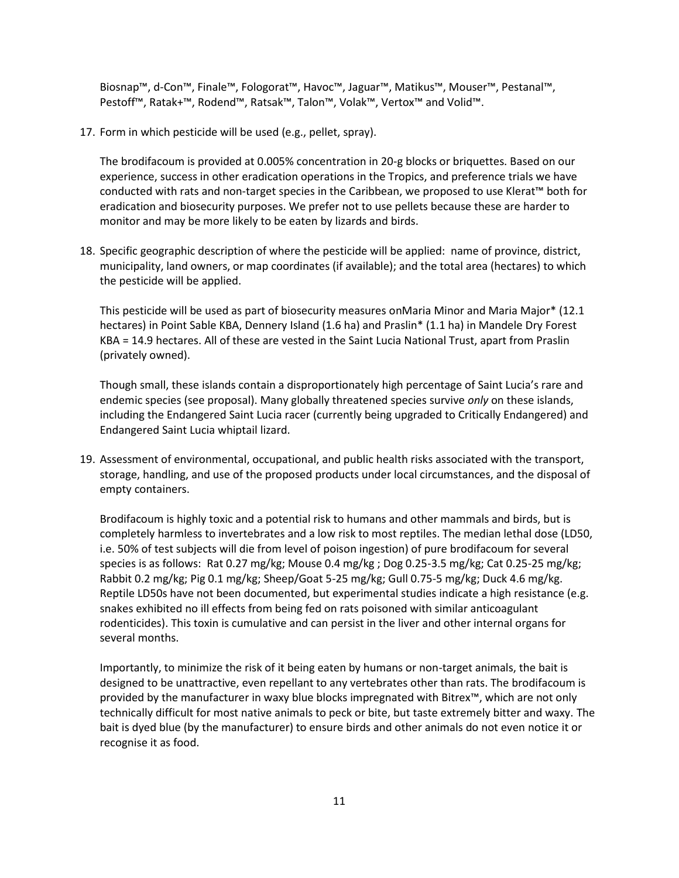Biosnap™, d-Con™, Finale™, Fologorat™, Havoc™, Jaguar™, Matikus™, Mouser™, Pestanal™, Pestoff™, Ratak+™, Rodend™, Ratsak™, Talon™, Volak™, Vertox™ and Volid™.

17. Form in which pesticide will be used (e.g., pellet, spray).

The brodifacoum is provided at 0.005% concentration in 20-g blocks or briquettes. Based on our experience, success in other eradication operations in the Tropics, and preference trials we have conducted with rats and non-target species in the Caribbean, we proposed to use Klerat™ both for eradication and biosecurity purposes. We prefer not to use pellets because these are harder to monitor and may be more likely to be eaten by lizards and birds.

18. Specific geographic description of where the pesticide will be applied: name of province, district, municipality, land owners, or map coordinates (if available); and the total area (hectares) to which the pesticide will be applied.

This pesticide will be used as part of biosecurity measures onMaria Minor and Maria Major\* (12.1 hectares) in Point Sable KBA, Dennery Island (1.6 ha) and Praslin\* (1.1 ha) in Mandele Dry Forest KBA = 14.9 hectares. All of these are vested in the Saint Lucia National Trust, apart from Praslin (privately owned).

Though small, these islands contain a disproportionately high percentage of Saint Lucia's rare and endemic species (see proposal). Many globally threatened species survive *only* on these islands, including the Endangered Saint Lucia racer (currently being upgraded to Critically Endangered) and Endangered Saint Lucia whiptail lizard.

19. Assessment of environmental, occupational, and public health risks associated with the transport, storage, handling, and use of the proposed products under local circumstances, and the disposal of empty containers.

Brodifacoum is highly toxic and a potential risk to humans and other mammals and birds, but is completely harmless to invertebrates and a low risk to most reptiles. The median lethal dose (LD50, i.e. 50% of test subjects will die from level of poison ingestion) of pure brodifacoum for several species is as follows: Rat 0.27 mg/kg; Mouse 0.4 mg/kg ; Dog 0.25-3.5 mg/kg; Cat 0.25-25 mg/kg; Rabbit 0.2 mg/kg; Pig 0.1 mg/kg; Sheep/Goat 5-25 mg/kg; Gull 0.75-5 mg/kg; Duck 4.6 mg/kg. Reptile LD50s have not been documented, but experimental studies indicate a high resistance (e.g. snakes exhibited no ill effects from being fed on rats poisoned with similar anticoagulant rodenticides). This toxin is cumulative and can persist in the liver and other internal organs for several months.

Importantly, to minimize the risk of it being eaten by humans or non-target animals, the bait is designed to be unattractive, even repellant to any vertebrates other than rats. The brodifacoum is provided by the manufacturer in waxy blue blocks impregnated with Bitrex™, which are not only technically difficult for most native animals to peck or bite, but taste extremely bitter and waxy. The bait is dyed blue (by the manufacturer) to ensure birds and other animals do not even notice it or recognise it as food.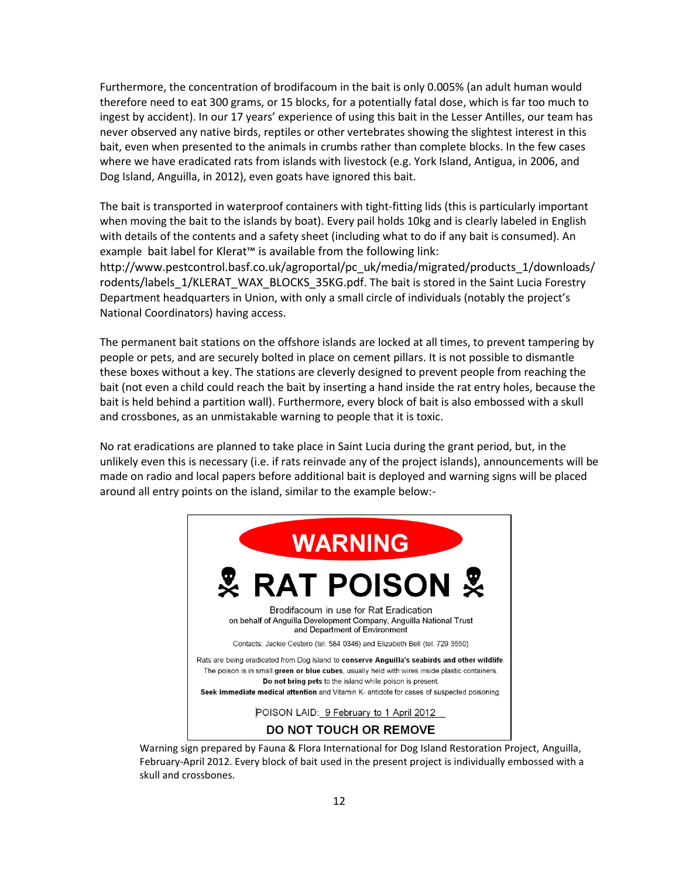Furthermore, the concentration of brodifacoum in the bait is only 0.005% (an adult human would therefore need to eat 300 grams, or 15 blocks, for a potentially fatal dose, which is far too much to ingest by accident). In our 17 years' experience of using this bait in the Lesser Antilles, our team has never observed any native birds, reptiles or other vertebrates showing the slightest interest in this bait, even when presented to the animals in crumbs rather than complete blocks. In the few cases where we have eradicated rats from islands with livestock (e.g. York Island, Antigua, in 2006, and Dog Island, Anguilla, in 2012), even goats have ignored this bait.

The bait is transported in waterproof containers with tight-fitting lids (this is particularly important when moving the bait to the islands by boat). Every pail holds 10kg and is clearly labeled in English with details of the contents and a safety sheet (including what to do if any bait is consumed). An example bait label for Klerat™ is available from the following link:

http://www.pestcontrol.basf.co.uk/agroportal/pc\_uk/media/migrated/products\_1/downloads/ rodents/labels\_1/KLERAT\_WAX\_BLOCKS\_35KG.pdf. The bait is stored in the Saint Lucia Forestry Department headquarters in Union, with only a small circle of individuals (notably the project's National Coordinators) having access.

The permanent bait stations on the offshore islands are locked at all times, to prevent tampering by people or pets, and are securely bolted in place on cement pillars. It is not possible to dismantle these boxes without a key. The stations are cleverly designed to prevent people from reaching the bait (not even a child could reach the bait by inserting a hand inside the rat entry holes, because the bait is held behind a partition wall). Furthermore, every block of bait is also embossed with a skull and crossbones, as an unmistakable warning to people that it is toxic.

No rat eradications are planned to take place in Saint Lucia during the grant period, but, in the unlikely even this is necessary (i.e. if rats reinvade any of the project islands), announcements will be made on radio and local papers before additional bait is deployed and warning signs will be placed around all entry points on the island, similar to the example below:-



Warning sign prepared by Fauna & Flora International for Dog Island Restoration Project, Anguilla, February-April 2012. Every block of bait used in the present project is individually embossed with a skull and crossbones.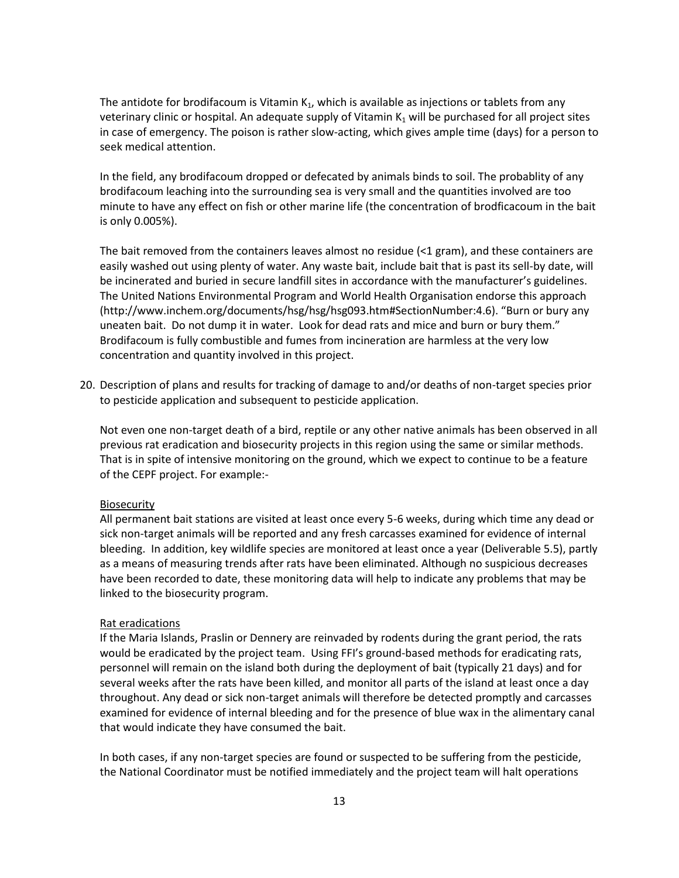The antidote for brodifacoum is Vitamin  $K_1$ , which is available as injections or tablets from any veterinary clinic or hospital. An adequate supply of Vitamin  $K_1$  will be purchased for all project sites in case of emergency. The poison is rather slow-acting, which gives ample time (days) for a person to seek medical attention.

In the field, any brodifacoum dropped or defecated by animals binds to soil. The probablity of any brodifacoum leaching into the surrounding sea is very small and the quantities involved are too minute to have any effect on fish or other marine life (the concentration of brodficacoum in the bait is only 0.005%).

The bait removed from the containers leaves almost no residue (<1 gram), and these containers are easily washed out using plenty of water. Any waste bait, include bait that is past its sell-by date, will be incinerated and buried in secure landfill sites in accordance with the manufacturer's guidelines. The United Nations Environmental Program and World Health Organisation endorse this approach (http://www.inchem.org/documents/hsg/hsg/hsg093.htm#SectionNumber:4.6). "Burn or bury any uneaten bait. Do not dump it in water. Look for dead rats and mice and burn or bury them." Brodifacoum is fully combustible and fumes from incineration are harmless at the very low concentration and quantity involved in this project.

20. Description of plans and results for tracking of damage to and/or deaths of non-target species prior to pesticide application and subsequent to pesticide application.

Not even one non-target death of a bird, reptile or any other native animals has been observed in all previous rat eradication and biosecurity projects in this region using the same or similar methods. That is in spite of intensive monitoring on the ground, which we expect to continue to be a feature of the CEPF project. For example:-

#### Biosecurity

All permanent bait stations are visited at least once every 5-6 weeks, during which time any dead or sick non-target animals will be reported and any fresh carcasses examined for evidence of internal bleeding. In addition, key wildlife species are monitored at least once a year (Deliverable 5.5), partly as a means of measuring trends after rats have been eliminated. Although no suspicious decreases have been recorded to date, these monitoring data will help to indicate any problems that may be linked to the biosecurity program.

#### Rat eradications

If the Maria Islands, Praslin or Dennery are reinvaded by rodents during the grant period, the rats would be eradicated by the project team. Using FFI's ground-based methods for eradicating rats, personnel will remain on the island both during the deployment of bait (typically 21 days) and for several weeks after the rats have been killed, and monitor all parts of the island at least once a day throughout. Any dead or sick non-target animals will therefore be detected promptly and carcasses examined for evidence of internal bleeding and for the presence of blue wax in the alimentary canal that would indicate they have consumed the bait.

In both cases, if any non-target species are found or suspected to be suffering from the pesticide, the National Coordinator must be notified immediately and the project team will halt operations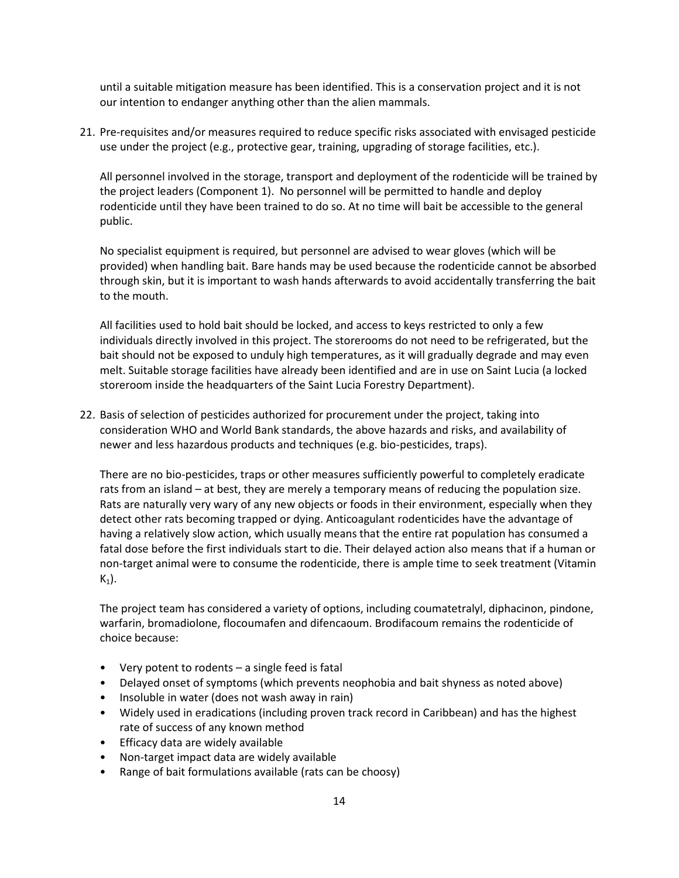until a suitable mitigation measure has been identified. This is a conservation project and it is not our intention to endanger anything other than the alien mammals.

21. Pre-requisites and/or measures required to reduce specific risks associated with envisaged pesticide use under the project (e.g., protective gear, training, upgrading of storage facilities, etc.).

All personnel involved in the storage, transport and deployment of the rodenticide will be trained by the project leaders (Component 1). No personnel will be permitted to handle and deploy rodenticide until they have been trained to do so. At no time will bait be accessible to the general public.

No specialist equipment is required, but personnel are advised to wear gloves (which will be provided) when handling bait. Bare hands may be used because the rodenticide cannot be absorbed through skin, but it is important to wash hands afterwards to avoid accidentally transferring the bait to the mouth.

All facilities used to hold bait should be locked, and access to keys restricted to only a few individuals directly involved in this project. The storerooms do not need to be refrigerated, but the bait should not be exposed to unduly high temperatures, as it will gradually degrade and may even melt. Suitable storage facilities have already been identified and are in use on Saint Lucia (a locked storeroom inside the headquarters of the Saint Lucia Forestry Department).

22. Basis of selection of pesticides authorized for procurement under the project, taking into consideration WHO and World Bank standards, the above hazards and risks, and availability of newer and less hazardous products and techniques (e.g. bio-pesticides, traps).

There are no bio-pesticides, traps or other measures sufficiently powerful to completely eradicate rats from an island – at best, they are merely a temporary means of reducing the population size. Rats are naturally very wary of any new objects or foods in their environment, especially when they detect other rats becoming trapped or dying. Anticoagulant rodenticides have the advantage of having a relatively slow action, which usually means that the entire rat population has consumed a fatal dose before the first individuals start to die. Their delayed action also means that if a human or non-target animal were to consume the rodenticide, there is ample time to seek treatment (Vitamin  $K_1$ ).

The project team has considered a variety of options, including coumatetralyl, diphacinon, pindone, warfarin, bromadiolone, flocoumafen and difencaoum. Brodifacoum remains the rodenticide of choice because:

- Very potent to rodents a single feed is fatal
- Delayed onset of symptoms (which prevents neophobia and bait shyness as noted above)
- Insoluble in water (does not wash away in rain)
- Widely used in eradications (including proven track record in Caribbean) and has the highest rate of success of any known method
- Efficacy data are widely available
- Non-target impact data are widely available
- Range of bait formulations available (rats can be choosy)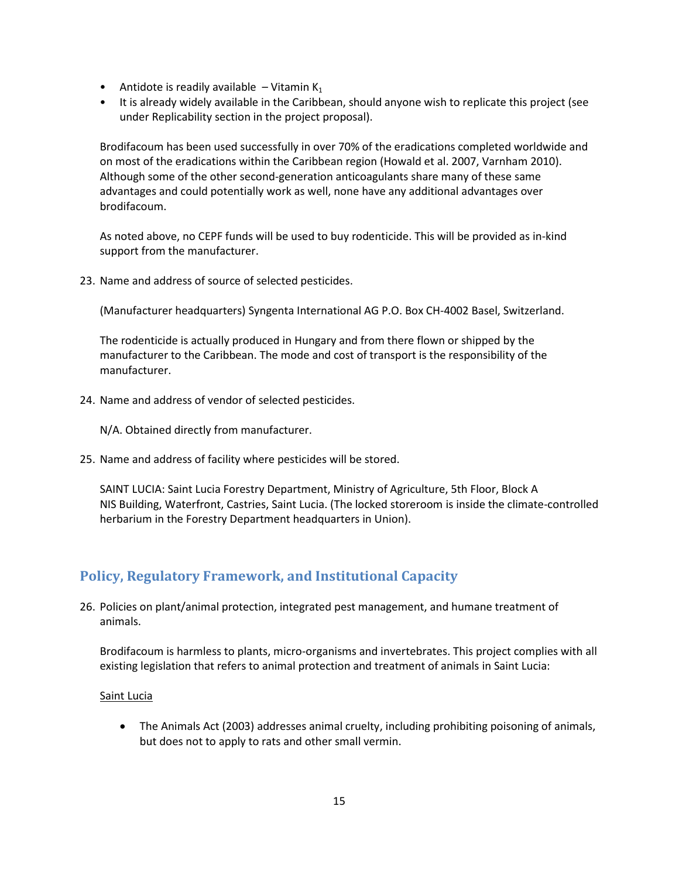- Antidote is readily available  $-$  Vitamin K<sub>1</sub>
- It is already widely available in the Caribbean, should anyone wish to replicate this project (see under Replicability section in the project proposal).

Brodifacoum has been used successfully in over 70% of the eradications completed worldwide and on most of the eradications within the Caribbean region (Howald et al. 2007, Varnham 2010). Although some of the other second-generation anticoagulants share many of these same advantages and could potentially work as well, none have any additional advantages over brodifacoum.

As noted above, no CEPF funds will be used to buy rodenticide. This will be provided as in-kind support from the manufacturer.

23. Name and address of source of selected pesticides.

(Manufacturer headquarters) Syngenta International AG P.O. Box CH-4002 Basel, Switzerland.

The rodenticide is actually produced in Hungary and from there flown or shipped by the manufacturer to the Caribbean. The mode and cost of transport is the responsibility of the manufacturer.

24. Name and address of vendor of selected pesticides.

N/A. Obtained directly from manufacturer.

25. Name and address of facility where pesticides will be stored.

SAINT LUCIA: Saint Lucia Forestry Department, Ministry of Agriculture, 5th Floor, Block A NIS Building, Waterfront, Castries, Saint Lucia. (The locked storeroom is inside the climate-controlled herbarium in the Forestry Department headquarters in Union).

### **Policy, Regulatory Framework, and Institutional Capacity**

26. Policies on plant/animal protection, integrated pest management, and humane treatment of animals.

Brodifacoum is harmless to plants, micro-organisms and invertebrates. This project complies with all existing legislation that refers to animal protection and treatment of animals in Saint Lucia:

#### Saint Lucia

 The Animals Act (2003) addresses animal cruelty, including prohibiting poisoning of animals, but does not to apply to rats and other small vermin.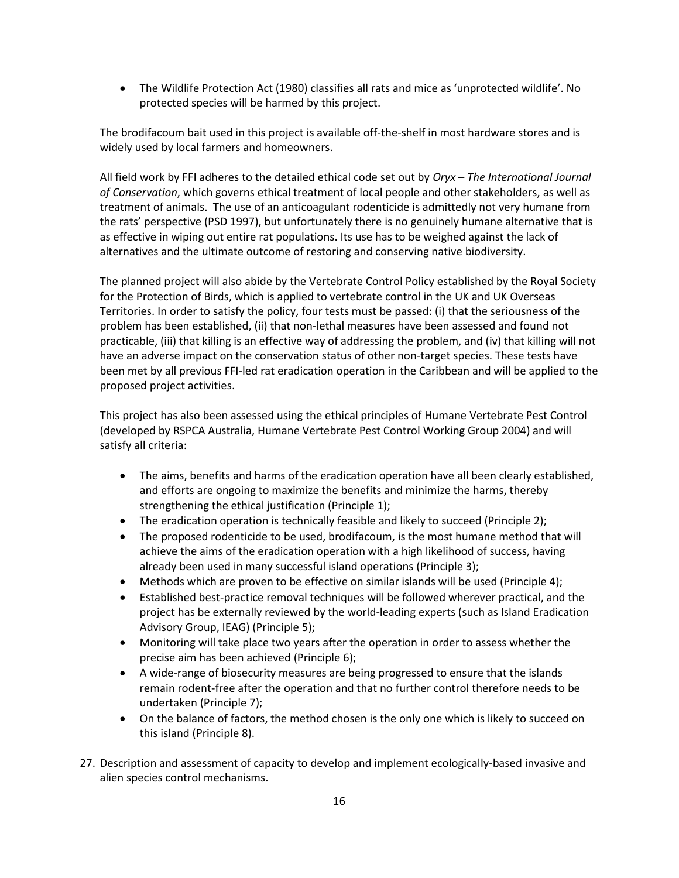The Wildlife Protection Act (1980) classifies all rats and mice as 'unprotected wildlife'. No protected species will be harmed by this project.

The brodifacoum bait used in this project is available off-the-shelf in most hardware stores and is widely used by local farmers and homeowners.

All field work by FFI adheres to the detailed ethical code set out by *Oryx – The International Journal of Conservation*, which governs ethical treatment of local people and other stakeholders, as well as treatment of animals. The use of an anticoagulant rodenticide is admittedly not very humane from the rats' perspective (PSD 1997), but unfortunately there is no genuinely humane alternative that is as effective in wiping out entire rat populations. Its use has to be weighed against the lack of alternatives and the ultimate outcome of restoring and conserving native biodiversity.

The planned project will also abide by the Vertebrate Control Policy established by the Royal Society for the Protection of Birds, which is applied to vertebrate control in the UK and UK Overseas Territories. In order to satisfy the policy, four tests must be passed: (i) that the seriousness of the problem has been established, (ii) that non-lethal measures have been assessed and found not practicable, (iii) that killing is an effective way of addressing the problem, and (iv) that killing will not have an adverse impact on the conservation status of other non-target species. These tests have been met by all previous FFI-led rat eradication operation in the Caribbean and will be applied to the proposed project activities.

This project has also been assessed using the ethical principles of Humane Vertebrate Pest Control (developed by RSPCA Australia, Humane Vertebrate Pest Control Working Group 2004) and will satisfy all criteria:

- The aims, benefits and harms of the eradication operation have all been clearly established, and efforts are ongoing to maximize the benefits and minimize the harms, thereby strengthening the ethical justification (Principle 1);
- The eradication operation is technically feasible and likely to succeed (Principle 2);
- The proposed rodenticide to be used, brodifacoum, is the most humane method that will achieve the aims of the eradication operation with a high likelihood of success, having already been used in many successful island operations (Principle 3);
- Methods which are proven to be effective on similar islands will be used (Principle 4);
- Established best-practice removal techniques will be followed wherever practical, and the project has be externally reviewed by the world-leading experts (such as Island Eradication Advisory Group, IEAG) (Principle 5);
- Monitoring will take place two years after the operation in order to assess whether the precise aim has been achieved (Principle 6);
- A wide-range of biosecurity measures are being progressed to ensure that the islands remain rodent-free after the operation and that no further control therefore needs to be undertaken (Principle 7);
- On the balance of factors, the method chosen is the only one which is likely to succeed on this island (Principle 8).
- 27. Description and assessment of capacity to develop and implement ecologically-based invasive and alien species control mechanisms.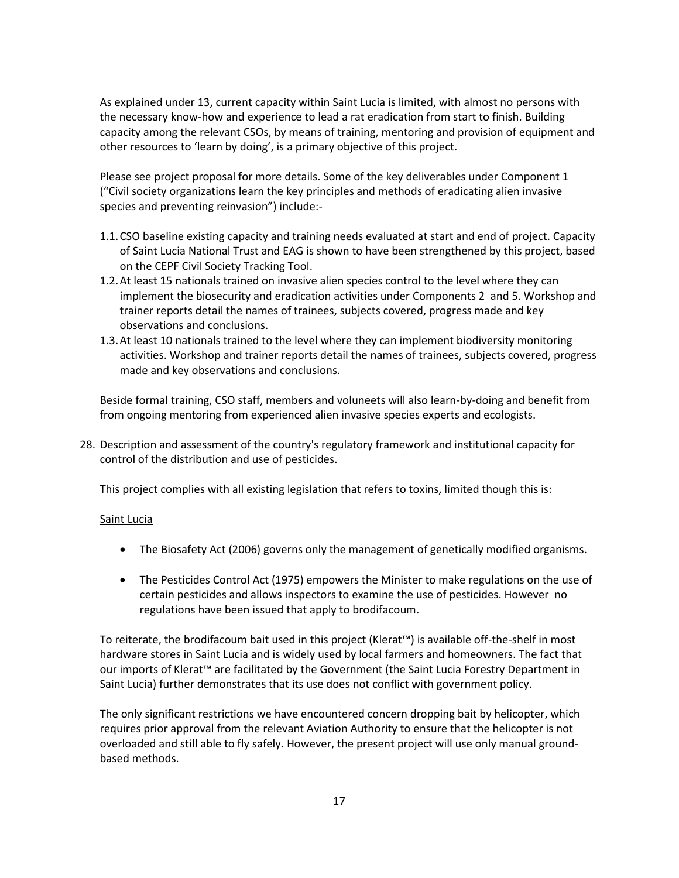As explained under 13, current capacity within Saint Lucia is limited, with almost no persons with the necessary know-how and experience to lead a rat eradication from start to finish. Building capacity among the relevant CSOs, by means of training, mentoring and provision of equipment and other resources to 'learn by doing', is a primary objective of this project.

Please see project proposal for more details. Some of the key deliverables under Component 1 ("Civil society organizations learn the key principles and methods of eradicating alien invasive species and preventing reinvasion") include:-

- 1.1.CSO baseline existing capacity and training needs evaluated at start and end of project. Capacity of Saint Lucia National Trust and EAG is shown to have been strengthened by this project, based on the CEPF Civil Society Tracking Tool.
- 1.2.At least 15 nationals trained on invasive alien species control to the level where they can implement the biosecurity and eradication activities under Components 2 and 5. Workshop and trainer reports detail the names of trainees, subjects covered, progress made and key observations and conclusions.
- 1.3.At least 10 nationals trained to the level where they can implement biodiversity monitoring activities. Workshop and trainer reports detail the names of trainees, subjects covered, progress made and key observations and conclusions.

Beside formal training, CSO staff, members and voluneets will also learn-by-doing and benefit from from ongoing mentoring from experienced alien invasive species experts and ecologists.

28. Description and assessment of the country's regulatory framework and institutional capacity for control of the distribution and use of pesticides.

This project complies with all existing legislation that refers to toxins, limited though this is:

### Saint Lucia

- The Biosafety Act (2006) governs only the management of genetically modified organisms.
- The Pesticides Control Act (1975) empowers the Minister to make regulations on the use of certain pesticides and allows inspectors to examine the use of pesticides. However no regulations have been issued that apply to brodifacoum.

To reiterate, the brodifacoum bait used in this project (Klerat™) is available off-the-shelf in most hardware stores in Saint Lucia and is widely used by local farmers and homeowners. The fact that our imports of Klerat™ are facilitated by the Government (the Saint Lucia Forestry Department in Saint Lucia) further demonstrates that its use does not conflict with government policy.

The only significant restrictions we have encountered concern dropping bait by helicopter, which requires prior approval from the relevant Aviation Authority to ensure that the helicopter is not overloaded and still able to fly safely. However, the present project will use only manual groundbased methods.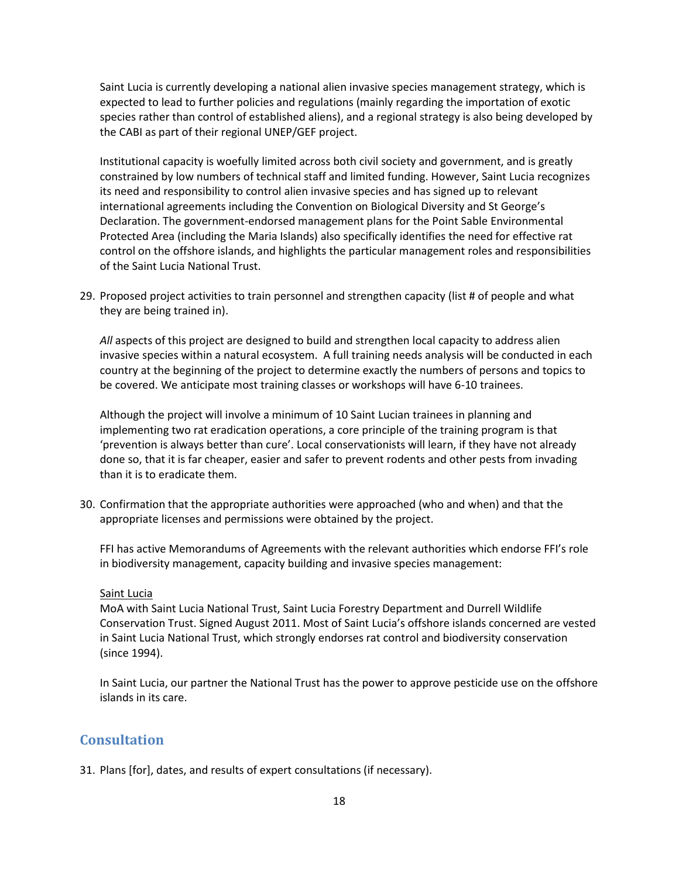Saint Lucia is currently developing a national alien invasive species management strategy, which is expected to lead to further policies and regulations (mainly regarding the importation of exotic species rather than control of established aliens), and a regional strategy is also being developed by the CABI as part of their regional UNEP/GEF project.

Institutional capacity is woefully limited across both civil society and government, and is greatly constrained by low numbers of technical staff and limited funding. However, Saint Lucia recognizes its need and responsibility to control alien invasive species and has signed up to relevant international agreements including the Convention on Biological Diversity and St George's Declaration. The government-endorsed management plans for the Point Sable Environmental Protected Area (including the Maria Islands) also specifically identifies the need for effective rat control on the offshore islands, and highlights the particular management roles and responsibilities of the Saint Lucia National Trust.

29. Proposed project activities to train personnel and strengthen capacity (list # of people and what they are being trained in).

*All* aspects of this project are designed to build and strengthen local capacity to address alien invasive species within a natural ecosystem. A full training needs analysis will be conducted in each country at the beginning of the project to determine exactly the numbers of persons and topics to be covered. We anticipate most training classes or workshops will have 6-10 trainees.

Although the project will involve a minimum of 10 Saint Lucian trainees in planning and implementing two rat eradication operations, a core principle of the training program is that 'prevention is always better than cure'. Local conservationists will learn, if they have not already done so, that it is far cheaper, easier and safer to prevent rodents and other pests from invading than it is to eradicate them.

30. Confirmation that the appropriate authorities were approached (who and when) and that the appropriate licenses and permissions were obtained by the project.

FFI has active Memorandums of Agreements with the relevant authorities which endorse FFI's role in biodiversity management, capacity building and invasive species management:

#### Saint Lucia

MoA with Saint Lucia National Trust, Saint Lucia Forestry Department and Durrell Wildlife Conservation Trust. Signed August 2011. Most of Saint Lucia's offshore islands concerned are vested in Saint Lucia National Trust, which strongly endorses rat control and biodiversity conservation (since 1994).

In Saint Lucia, our partner the National Trust has the power to approve pesticide use on the offshore islands in its care.

## **Consultation**

31. Plans [for], dates, and results of expert consultations (if necessary).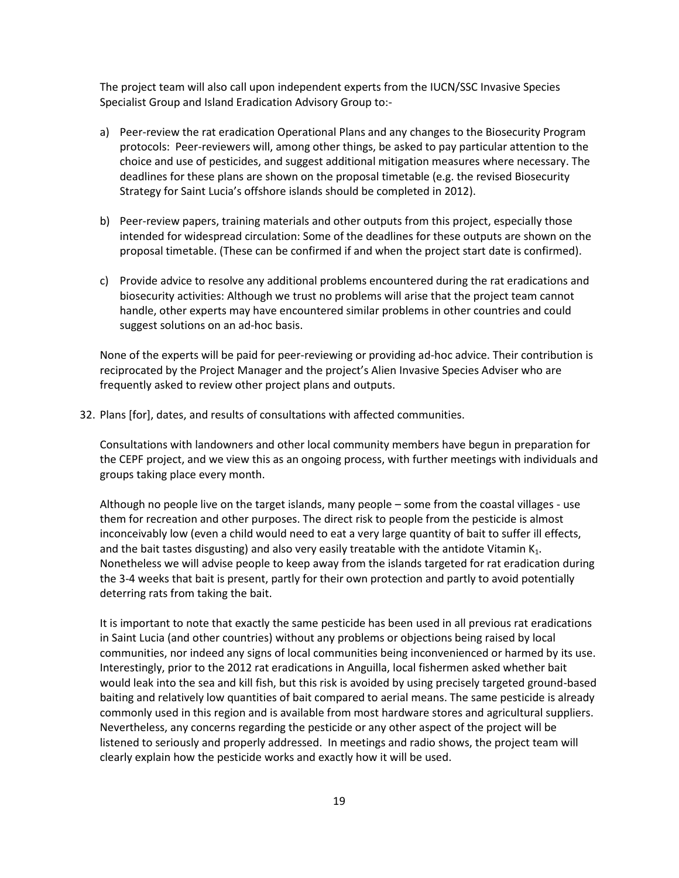The project team will also call upon independent experts from the IUCN/SSC Invasive Species Specialist Group and Island Eradication Advisory Group to:-

- a) Peer-review the rat eradication Operational Plans and any changes to the Biosecurity Program protocols: Peer-reviewers will, among other things, be asked to pay particular attention to the choice and use of pesticides, and suggest additional mitigation measures where necessary. The deadlines for these plans are shown on the proposal timetable (e.g. the revised Biosecurity Strategy for Saint Lucia's offshore islands should be completed in 2012).
- b) Peer-review papers, training materials and other outputs from this project, especially those intended for widespread circulation: Some of the deadlines for these outputs are shown on the proposal timetable. (These can be confirmed if and when the project start date is confirmed).
- c) Provide advice to resolve any additional problems encountered during the rat eradications and biosecurity activities: Although we trust no problems will arise that the project team cannot handle, other experts may have encountered similar problems in other countries and could suggest solutions on an ad-hoc basis.

None of the experts will be paid for peer-reviewing or providing ad-hoc advice. Their contribution is reciprocated by the Project Manager and the project's Alien Invasive Species Adviser who are frequently asked to review other project plans and outputs.

32. Plans [for], dates, and results of consultations with affected communities.

Consultations with landowners and other local community members have begun in preparation for the CEPF project, and we view this as an ongoing process, with further meetings with individuals and groups taking place every month.

Although no people live on the target islands, many people – some from the coastal villages - use them for recreation and other purposes. The direct risk to people from the pesticide is almost inconceivably low (even a child would need to eat a very large quantity of bait to suffer ill effects, and the bait tastes disgusting) and also very easily treatable with the antidote Vitamin  $K_1$ . Nonetheless we will advise people to keep away from the islands targeted for rat eradication during the 3-4 weeks that bait is present, partly for their own protection and partly to avoid potentially deterring rats from taking the bait.

It is important to note that exactly the same pesticide has been used in all previous rat eradications in Saint Lucia (and other countries) without any problems or objections being raised by local communities, nor indeed any signs of local communities being inconvenienced or harmed by its use. Interestingly, prior to the 2012 rat eradications in Anguilla, local fishermen asked whether bait would leak into the sea and kill fish, but this risk is avoided by using precisely targeted ground-based baiting and relatively low quantities of bait compared to aerial means. The same pesticide is already commonly used in this region and is available from most hardware stores and agricultural suppliers. Nevertheless, any concerns regarding the pesticide or any other aspect of the project will be listened to seriously and properly addressed. In meetings and radio shows, the project team will clearly explain how the pesticide works and exactly how it will be used.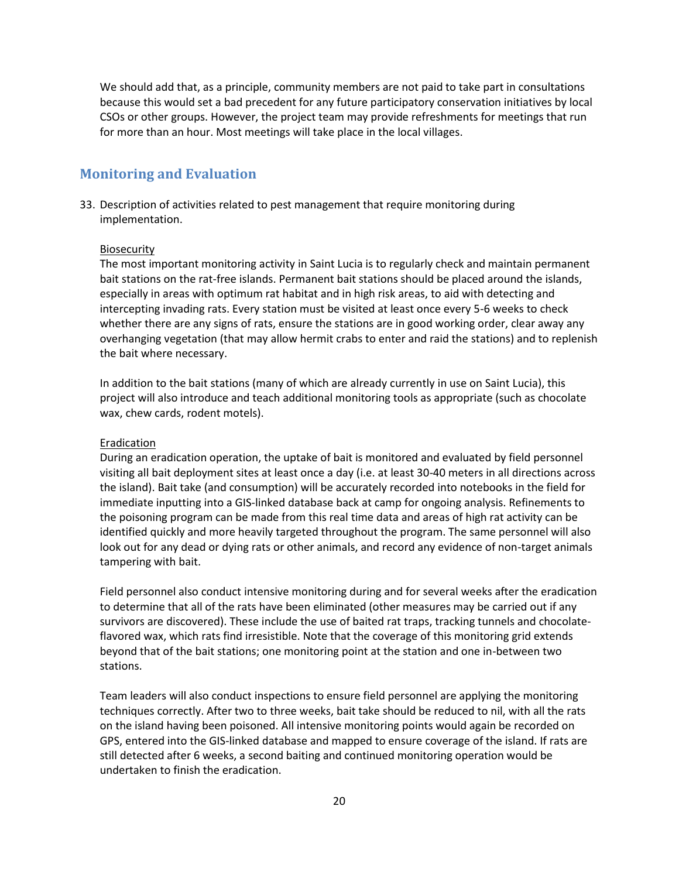We should add that, as a principle, community members are not paid to take part in consultations because this would set a bad precedent for any future participatory conservation initiatives by local CSOs or other groups. However, the project team may provide refreshments for meetings that run for more than an hour. Most meetings will take place in the local villages.

### **Monitoring and Evaluation**

33. Description of activities related to pest management that require monitoring during implementation.

#### Biosecurity

The most important monitoring activity in Saint Lucia is to regularly check and maintain permanent bait stations on the rat-free islands. Permanent bait stations should be placed around the islands, especially in areas with optimum rat habitat and in high risk areas, to aid with detecting and intercepting invading rats. Every station must be visited at least once every 5-6 weeks to check whether there are any signs of rats, ensure the stations are in good working order, clear away any overhanging vegetation (that may allow hermit crabs to enter and raid the stations) and to replenish the bait where necessary.

In addition to the bait stations (many of which are already currently in use on Saint Lucia), this project will also introduce and teach additional monitoring tools as appropriate (such as chocolate wax, chew cards, rodent motels).

#### Eradication

During an eradication operation, the uptake of bait is monitored and evaluated by field personnel visiting all bait deployment sites at least once a day (i.e. at least 30-40 meters in all directions across the island). Bait take (and consumption) will be accurately recorded into notebooks in the field for immediate inputting into a GIS-linked database back at camp for ongoing analysis. Refinements to the poisoning program can be made from this real time data and areas of high rat activity can be identified quickly and more heavily targeted throughout the program. The same personnel will also look out for any dead or dying rats or other animals, and record any evidence of non-target animals tampering with bait.

Field personnel also conduct intensive monitoring during and for several weeks after the eradication to determine that all of the rats have been eliminated (other measures may be carried out if any survivors are discovered). These include the use of baited rat traps, tracking tunnels and chocolateflavored wax, which rats find irresistible. Note that the coverage of this monitoring grid extends beyond that of the bait stations; one monitoring point at the station and one in-between two stations.

Team leaders will also conduct inspections to ensure field personnel are applying the monitoring techniques correctly. After two to three weeks, bait take should be reduced to nil, with all the rats on the island having been poisoned. All intensive monitoring points would again be recorded on GPS, entered into the GIS-linked database and mapped to ensure coverage of the island. If rats are still detected after 6 weeks, a second baiting and continued monitoring operation would be undertaken to finish the eradication.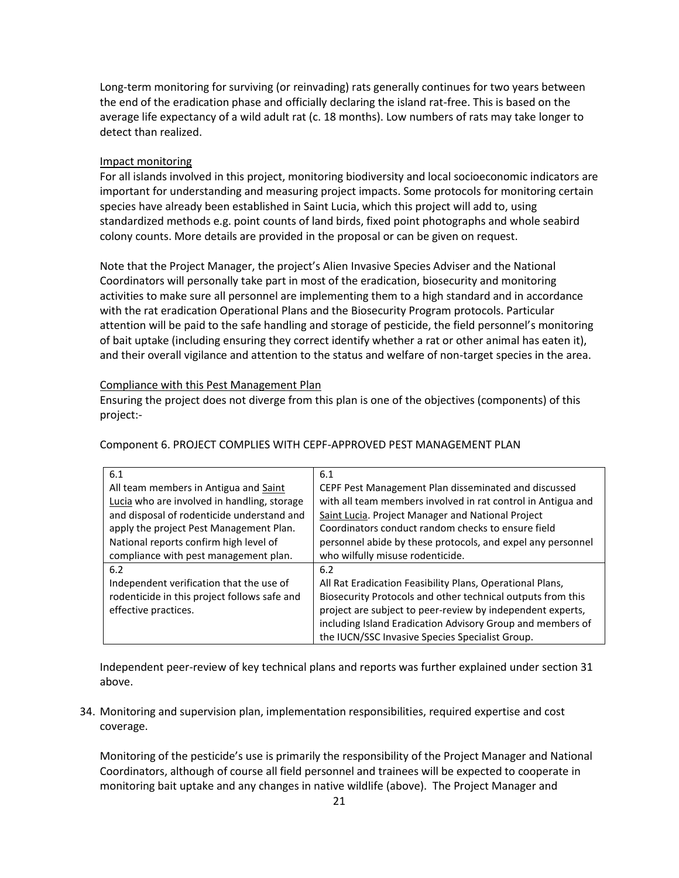Long-term monitoring for surviving (or reinvading) rats generally continues for two years between the end of the eradication phase and officially declaring the island rat-free. This is based on the average life expectancy of a wild adult rat (c. 18 months). Low numbers of rats may take longer to detect than realized.

#### Impact monitoring

For all islands involved in this project, monitoring biodiversity and local socioeconomic indicators are important for understanding and measuring project impacts. Some protocols for monitoring certain species have already been established in Saint Lucia, which this project will add to, using standardized methods e.g. point counts of land birds, fixed point photographs and whole seabird colony counts. More details are provided in the proposal or can be given on request.

Note that the Project Manager, the project's Alien Invasive Species Adviser and the National Coordinators will personally take part in most of the eradication, biosecurity and monitoring activities to make sure all personnel are implementing them to a high standard and in accordance with the rat eradication Operational Plans and the Biosecurity Program protocols. Particular attention will be paid to the safe handling and storage of pesticide, the field personnel's monitoring of bait uptake (including ensuring they correct identify whether a rat or other animal has eaten it), and their overall vigilance and attention to the status and welfare of non-target species in the area.

#### Compliance with this Pest Management Plan

Ensuring the project does not diverge from this plan is one of the objectives (components) of this project:-

| 6.1                                          | 6.1                                                          |
|----------------------------------------------|--------------------------------------------------------------|
| All team members in Antigua and Saint        | CEPF Pest Management Plan disseminated and discussed         |
| Lucia who are involved in handling, storage  | with all team members involved in rat control in Antigua and |
| and disposal of rodenticide understand and   | Saint Lucia. Project Manager and National Project            |
| apply the project Pest Management Plan.      | Coordinators conduct random checks to ensure field           |
| National reports confirm high level of       | personnel abide by these protocols, and expel any personnel  |
| compliance with pest management plan.        | who wilfully misuse rodenticide.                             |
| 6.2                                          | 6.2                                                          |
| Independent verification that the use of     | All Rat Eradication Feasibility Plans, Operational Plans,    |
| rodenticide in this project follows safe and | Biosecurity Protocols and other technical outputs from this  |
| effective practices.                         | project are subject to peer-review by independent experts,   |
|                                              | including Island Eradication Advisory Group and members of   |
|                                              | the IUCN/SSC Invasive Species Specialist Group.              |

Component 6. PROJECT COMPLIES WITH CEPF-APPROVED PEST MANAGEMENT PLAN

Independent peer-review of key technical plans and reports was further explained under section 31 above.

34. Monitoring and supervision plan, implementation responsibilities, required expertise and cost coverage.

Monitoring of the pesticide's use is primarily the responsibility of the Project Manager and National Coordinators, although of course all field personnel and trainees will be expected to cooperate in monitoring bait uptake and any changes in native wildlife (above). The Project Manager and